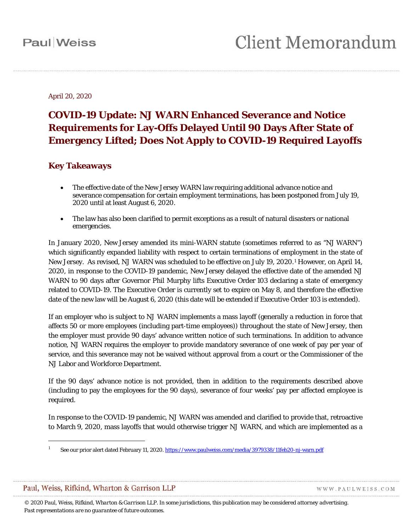April 20, 2020

### **COVID-19 Update: NJ WARN Enhanced Severance and Notice Requirements for Lay-Offs Delayed Until 90 Days After State of Emergency Lifted; Does Not Apply to COVID-19 Required Layoffs**

#### **Key Takeaways**

- The effective date of the New Jersey WARN law requiring additional advance notice and severance compensation for certain employment terminations, has been postponed from July 19, 2020 until at least August 6, 2020.
- The law has also been clarified to permit exceptions as a result of natural disasters or national emergencies.

In January 2020, New Jersey amended its mini-WARN statute (sometimes referred to as "NJ WARN") which significantly expanded liability with respect to certain terminations of employment in the state of New Jersey. As revised, NJ WARN was scheduled to be effective on July 19, 2020.[1](#page-0-0) However, on April 14, 2020, in response to the COVID-19 pandemic, New Jersey delayed the effective date of the amended NJ WARN to 90 days after Governor Phil Murphy lifts Executive Order 103 declaring a state of emergency related to COVID-19. The Executive Order is currently set to expire on May 8, and therefore the effective date of the new law will be August 6, 2020 (this date will be extended if Executive Order 103 is extended).

If an employer who is subject to NJ WARN implements a mass layoff (generally a reduction in force that affects 50 or more employees (including part-time employees)) throughout the state of New Jersey, then the employer must provide 90 days' advance written notice of such terminations. In addition to advance notice, NJ WARN requires the employer to provide mandatory severance of one week of pay per year of service, and this severance may not be waived without approval from a court or the Commissioner of the NJ Labor and Workforce Department.

If the 90 days' advance notice is not provided, then in addition to the requirements described above (including to pay the employees for the 90 days), severance of four weeks' pay per affected employee is required.

In response to the COVID-19 pandemic, NJ WARN was amended and clarified to provide that, retroactive to March 9, 2020, mass layoffs that would otherwise trigger NJ WARN, and which are implemented as a

#### <span id="page-0-0"></span>Paul, Weiss, Rifkind, Wharton & Garrison LLP

 $\overline{a}$ 

WWW.PAULWEISS.COM

*© 2020 Paul, Weiss, Rifkind, Wharton & Garrison LLP. In some jurisdictions, this publication may be considered attorney advertising. Past representations are no guarantee of future outcomes.*

See our prior alert dated February 11, 2020[. https://www.paulweiss.com/media/3979338/11feb20-nj-warn.pdf](https://www.paulweiss.com/media/3979338/11feb20-nj-warn.pdf)